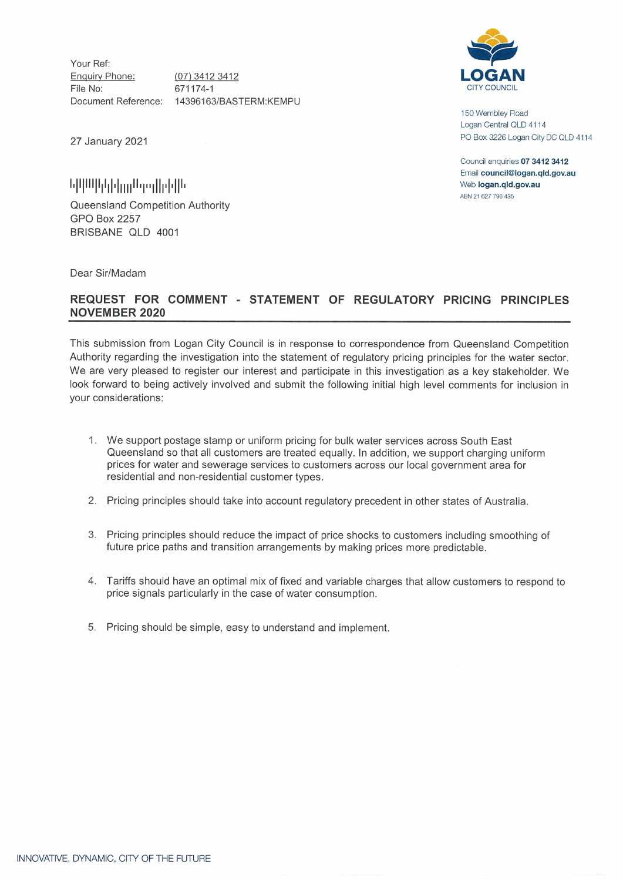Your Ref: Enquiry Phone: File No: Document Reference: 14396163/BASTERM:KEMPU 671174-1

(07) 3412 3412

**<u>հրարիկանակ</u>ին** 

Queensland Competition Authority GPO Box 2257 BRISBANE QLD 4001

Dear Sir/Madam

## **REQUEST FOR COMMENT STATEMENT OF REGULATORY PRICING PRINCIPLES NOVEMBER 2020**

This submission from Logan City Council is in response to correspondence from Queensland Competition Authority regarding the investigation into the statement of regulatory pricing principles for the water sector. We are very pleased to register our interest and participate in this investigation as a key stakeholder. We look forward to being actively involved and submit the following initial high level comments for inclusion in your considerations:

- 1. We support postage stamp or uniform pricing for bulk water services across South East Queensland so that all customers are treated equally. In addition, we support charging uniform prices for water and sewerage services to customers across our local government area for residential and non-residential customer types.
- 2. Pricing principles should take into account regulatory precedent in other states of Australia.
- 3. Pricing principles should reduce the impact of price shocks to customers including smoothing of future price paths and transition arrangements by making prices more predictable.
- 4. Tariffs should have an optimal mix of fixed and variable charges that allow customers to respond to price signals particularly in the case of water consumption.
- 5. Pricing should be simple, easy to understand and implement.



150 Wembley Road Logan Central OLD 4114 PO Box <sup>3226</sup> Logan City DC QLD <sup>4114</sup> 27 January 2021

> Council enquiries **07 3412 3412** Email **council@logan.qld.gov.au** Web **logan.qld.gov.au** ABN 21 627 796435